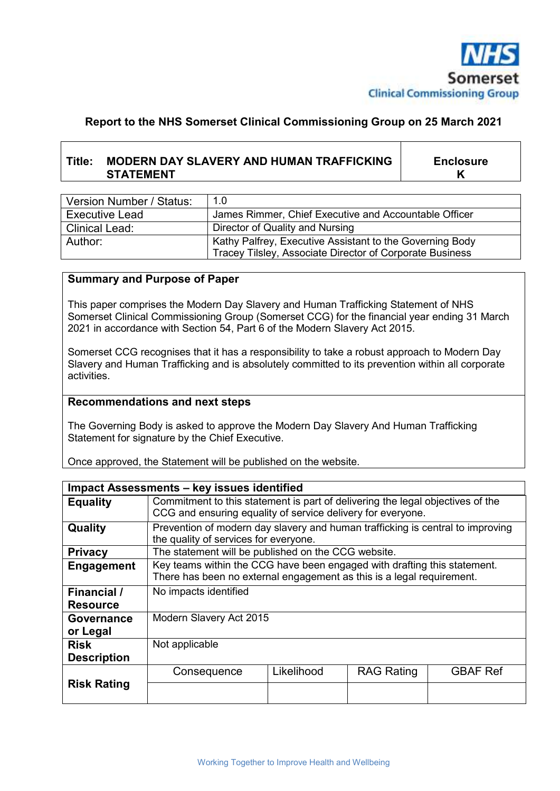

## **Report to the NHS Somerset Clinical Commissioning Group on 25 March 2021**

# **Title: MODERN DAY SLAVERY AND HUMAN TRAFFICKING STATEMENT**

**Enclosure K** 

| Version Number / Status: | 1.0                                                                                                                  |  |
|--------------------------|----------------------------------------------------------------------------------------------------------------------|--|
| <b>Executive Lead</b>    | James Rimmer, Chief Executive and Accountable Officer                                                                |  |
| Clinical Lead:           | Director of Quality and Nursing                                                                                      |  |
| Author:                  | Kathy Palfrey, Executive Assistant to the Governing Body<br>Tracey Tilsley, Associate Director of Corporate Business |  |

#### **Summary and Purpose of Paper**

This paper comprises the Modern Day Slavery and Human Trafficking Statement of NHS Somerset Clinical Commissioning Group (Somerset CCG) for the financial year ending 31 March 2021 in accordance with Section 54, Part 6 of the Modern Slavery Act 2015.

Somerset CCG recognises that it has a responsibility to take a robust approach to Modern Day Slavery and Human Trafficking and is absolutely committed to its prevention within all corporate activities.

#### **Recommendations and next steps**

The Governing Body is asked to approve the Modern Day Slavery And Human Trafficking Statement for signature by the Chief Executive.

Once approved, the Statement will be published on the website.

| Impact Assessments - key issues identified |                                                                                                                                                   |            |                   |                 |  |  |
|--------------------------------------------|---------------------------------------------------------------------------------------------------------------------------------------------------|------------|-------------------|-----------------|--|--|
| <b>Equality</b>                            | Commitment to this statement is part of delivering the legal objectives of the<br>CCG and ensuring equality of service delivery for everyone.     |            |                   |                 |  |  |
| Quality                                    | Prevention of modern day slavery and human trafficking is central to improving<br>the quality of services for everyone.                           |            |                   |                 |  |  |
| <b>Privacy</b>                             | The statement will be published on the CCG website.                                                                                               |            |                   |                 |  |  |
| Engagement                                 | Key teams within the CCG have been engaged with drafting this statement.<br>There has been no external engagement as this is a legal requirement. |            |                   |                 |  |  |
| Financial /                                | No impacts identified                                                                                                                             |            |                   |                 |  |  |
| <b>Resource</b>                            |                                                                                                                                                   |            |                   |                 |  |  |
| Governance                                 | Modern Slavery Act 2015                                                                                                                           |            |                   |                 |  |  |
| or Legal                                   |                                                                                                                                                   |            |                   |                 |  |  |
| <b>Risk</b>                                | Not applicable                                                                                                                                    |            |                   |                 |  |  |
| <b>Description</b>                         |                                                                                                                                                   |            |                   |                 |  |  |
|                                            | Consequence                                                                                                                                       | Likelihood | <b>RAG Rating</b> | <b>GBAF Ref</b> |  |  |
| <b>Risk Rating</b>                         |                                                                                                                                                   |            |                   |                 |  |  |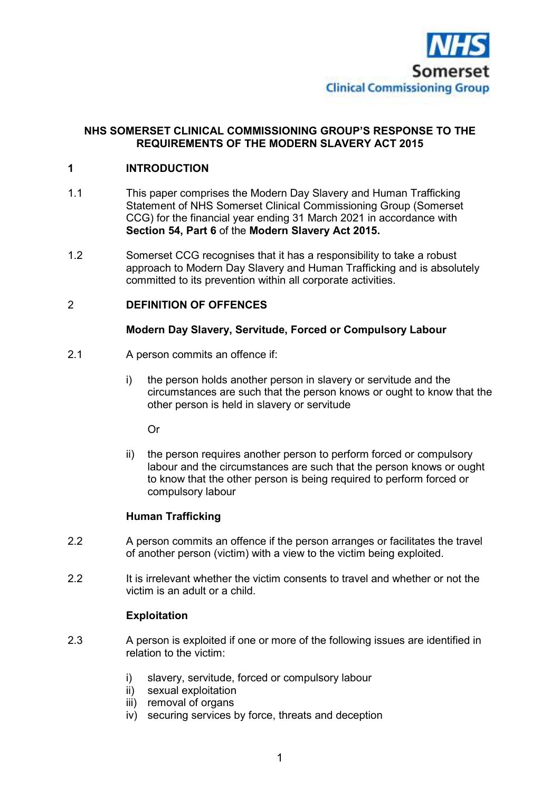

## **NHS SOMERSET CLINICAL COMMISSIONING GROUP'S RESPONSE TO THE REQUIREMENTS OF THE MODERN SLAVERY ACT 2015**

## **1 INTRODUCTION**

- 1.1 This paper comprises the Modern Day Slavery and Human Trafficking Statement of NHS Somerset Clinical Commissioning Group (Somerset CCG) for the financial year ending 31 March 2021 in accordance with **Section 54, Part 6** of the **Modern Slavery Act 2015.**
- 1.2 Somerset CCG recognises that it has a responsibility to take a robust approach to Modern Day Slavery and Human Trafficking and is absolutely committed to its prevention within all corporate activities.

#### 2 **DEFINITION OF OFFENCES**

#### **Modern Day Slavery, Servitude, Forced or Compulsory Labour**

- 2.1 A person commits an offence if:
	- i) the person holds another person in slavery or servitude and the circumstances are such that the person knows or ought to know that the other person is held in slavery or servitude

Or

 ii) the person requires another person to perform forced or compulsory labour and the circumstances are such that the person knows or ought to know that the other person is being required to perform forced or compulsory labour

#### **Human Trafficking**

- 2.2 A person commits an offence if the person arranges or facilitates the travel of another person (victim) with a view to the victim being exploited.
- 2.2 It is irrelevant whether the victim consents to travel and whether or not the victim is an adult or a child.

#### **Exploitation**

- 2.3 A person is exploited if one or more of the following issues are identified in relation to the victim:
	- i) slavery, servitude, forced or compulsory labour
	- ii) sexual exploitation
	- iii) removal of organs
	- iv) securing services by force, threats and deception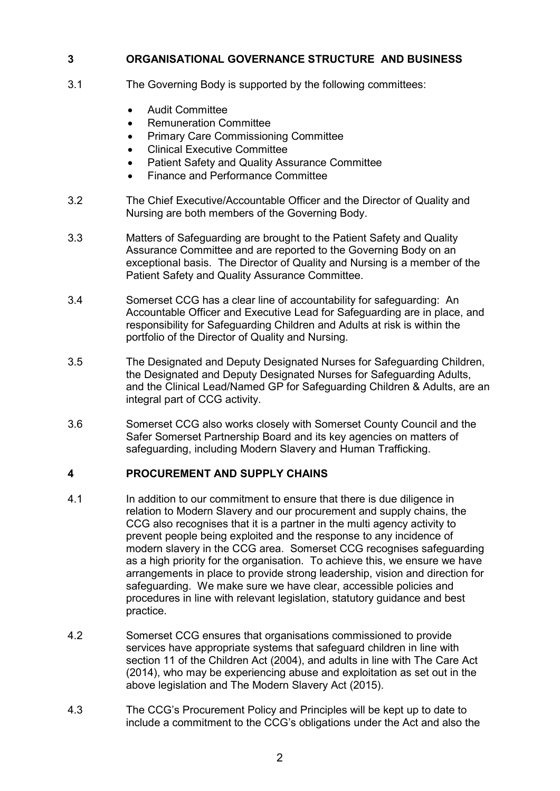## **3 ORGANISATIONAL GOVERNANCE STRUCTURE AND BUSINESS**

- 3.1 The Governing Body is supported by the following committees:
	- **•** Audit Committee
	- Remuneration Committee
	- Primary Care Commissioning Committee
	- Clinical Executive Committee
	- Patient Safety and Quality Assurance Committee
	- Finance and Performance Committee
- 3.2 The Chief Executive/Accountable Officer and the Director of Quality and Nursing are both members of the Governing Body.
- 3.3 Matters of Safeguarding are brought to the Patient Safety and Quality Assurance Committee and are reported to the Governing Body on an exceptional basis. The Director of Quality and Nursing is a member of the Patient Safety and Quality Assurance Committee.
- 3.4 Somerset CCG has a clear line of accountability for safeguarding: An Accountable Officer and Executive Lead for Safeguarding are in place, and responsibility for Safeguarding Children and Adults at risk is within the portfolio of the Director of Quality and Nursing.
- 3.5 The Designated and Deputy Designated Nurses for Safeguarding Children, the Designated and Deputy Designated Nurses for Safeguarding Adults, and the Clinical Lead/Named GP for Safeguarding Children & Adults, are an integral part of CCG activity.
- 3.6 Somerset CCG also works closely with Somerset County Council and the Safer Somerset Partnership Board and its key agencies on matters of safeguarding, including Modern Slavery and Human Trafficking.

## **4 PROCUREMENT AND SUPPLY CHAINS**

- 4.1 In addition to our commitment to ensure that there is due diligence in relation to Modern Slavery and our procurement and supply chains, the CCG also recognises that it is a partner in the multi agency activity to prevent people being exploited and the response to any incidence of modern slavery in the CCG area. Somerset CCG recognises safeguarding as a high priority for the organisation. To achieve this, we ensure we have arrangements in place to provide strong leadership, vision and direction for safeguarding. We make sure we have clear, accessible policies and procedures in line with relevant legislation, statutory guidance and best practice.
- 4.2 Somerset CCG ensures that organisations commissioned to provide services have appropriate systems that safeguard children in line with section 11 of the Children Act (2004), and adults in line with The Care Act (2014), who may be experiencing abuse and exploitation as set out in the above legislation and The Modern Slavery Act (2015).
- 4.3 The CCG's Procurement Policy and Principles will be kept up to date to include a commitment to the CCG's obligations under the Act and also the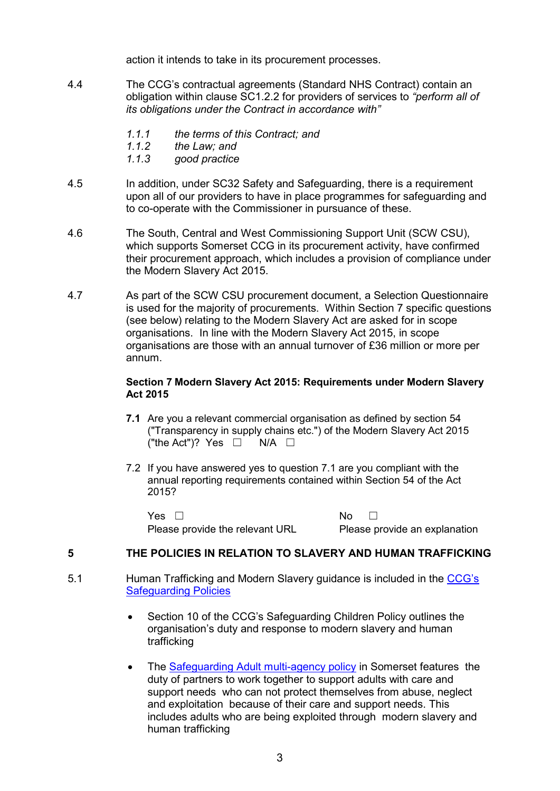action it intends to take in its procurement processes.

- 4.4 The CCG's contractual agreements (Standard NHS Contract) contain an obligation within clause SC1.2.2 for providers of services to *"perform all of its obligations under the Contract in accordance with"*
	- *1.1.1 the terms of this Contract; and*
	- *1.1.2 the Law; and*
	- *1.1.3 good practice*
- 4.5 In addition, under SC32 Safety and Safeguarding, there is a requirement upon all of our providers to have in place programmes for safeguarding and to co-operate with the Commissioner in pursuance of these.
- 4.6 The South, Central and West Commissioning Support Unit (SCW CSU), which supports Somerset CCG in its procurement activity, have confirmed their procurement approach, which includes a provision of compliance under the Modern Slavery Act 2015.
- 4.7 As part of the SCW CSU procurement document, a Selection Questionnaire is used for the majority of procurements. Within Section 7 specific questions (see below) relating to the Modern Slavery Act are asked for in scope organisations. In line with the Modern Slavery Act 2015, in scope organisations are those with an annual turnover of £36 million or more per annum.

#### **Section 7 Modern Slavery Act 2015: Requirements under Modern Slavery Act 2015**

- **7.1** Are you a relevant commercial organisation as defined by section 54 ("Transparency in supply chains etc.") of the Modern Slavery Act 2015 ("the Act")? Yes  $\Box$  N/A  $\Box$
- 7.2 If you have answered yes to question 7.1 are you compliant with the annual reporting requirements contained within Section 54 of the Act 2015?

Yes □ No □ Please provide the relevant URL Please provide an explanation

## **5 THE POLICIES IN RELATION TO SLAVERY AND HUMAN TRAFFICKING**

- 5.1 Human Trafficking and Modern Slavery guidance is included in the CCG's Safeguarding Policies
	- Section 10 of the CCG's Safeguarding Children Policy outlines the organisation's duty and response to modern slavery and human trafficking
	- The Safeguarding Adult multi-agency policy in Somerset features the duty of partners to work together to support adults with care and support needs who can not protect themselves from abuse, neglect and exploitation because of their care and support needs. This includes adults who are being exploited through modern slavery and human trafficking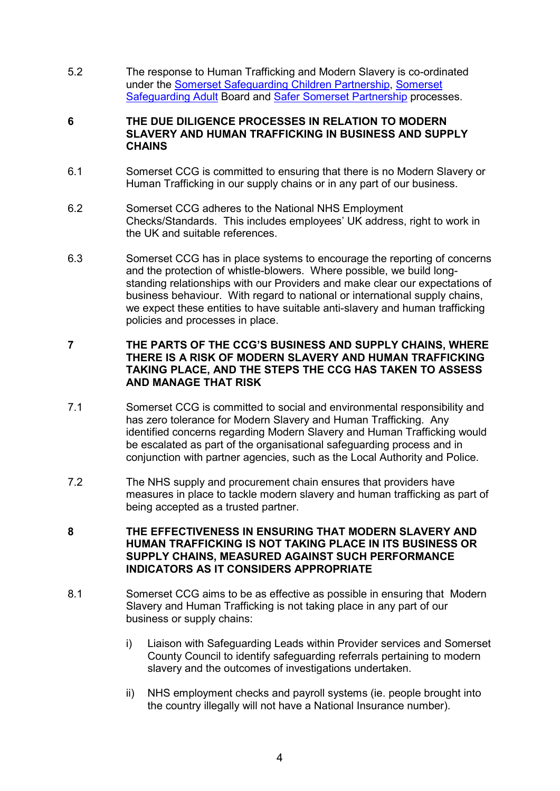5.2 The response to Human Trafficking and Modern Slavery is co-ordinated under the Somerset Safeguarding Children Partnership, Somerset Safeguarding Adult Board and Safer Somerset Partnership processes.

#### **6 THE DUE DILIGENCE PROCESSES IN RELATION TO MODERN SLAVERY AND HUMAN TRAFFICKING IN BUSINESS AND SUPPLY CHAINS**

- 6.1 Somerset CCG is committed to ensuring that there is no Modern Slavery or Human Trafficking in our supply chains or in any part of our business.
- 6.2 Somerset CCG adheres to the National NHS Employment Checks/Standards. This includes employees' UK address, right to work in the UK and suitable references.
- 6.3 Somerset CCG has in place systems to encourage the reporting of concerns and the protection of whistle-blowers. Where possible, we build longstanding relationships with our Providers and make clear our expectations of business behaviour. With regard to national or international supply chains, we expect these entities to have suitable anti-slavery and human trafficking policies and processes in place.

## **7 THE PARTS OF THE CCG'S BUSINESS AND SUPPLY CHAINS, WHERE THERE IS A RISK OF MODERN SLAVERY AND HUMAN TRAFFICKING TAKING PLACE, AND THE STEPS THE CCG HAS TAKEN TO ASSESS AND MANAGE THAT RISK**

- 7.1 Somerset CCG is committed to social and environmental responsibility and has zero tolerance for Modern Slavery and Human Trafficking. Any identified concerns regarding Modern Slavery and Human Trafficking would be escalated as part of the organisational safeguarding process and in conjunction with partner agencies, such as the Local Authority and Police.
- 7.2 The NHS supply and procurement chain ensures that providers have measures in place to tackle modern slavery and human trafficking as part of being accepted as a trusted partner.
- **8 THE EFFECTIVENESS IN ENSURING THAT MODERN SLAVERY AND HUMAN TRAFFICKING IS NOT TAKING PLACE IN ITS BUSINESS OR SUPPLY CHAINS, MEASURED AGAINST SUCH PERFORMANCE INDICATORS AS IT CONSIDERS APPROPRIATE**
- 8.1 Somerset CCG aims to be as effective as possible in ensuring that Modern Slavery and Human Trafficking is not taking place in any part of our business or supply chains:
	- i) Liaison with Safeguarding Leads within Provider services and Somerset County Council to identify safeguarding referrals pertaining to modern slavery and the outcomes of investigations undertaken.
	- ii) NHS employment checks and payroll systems (ie. people brought into the country illegally will not have a National Insurance number).